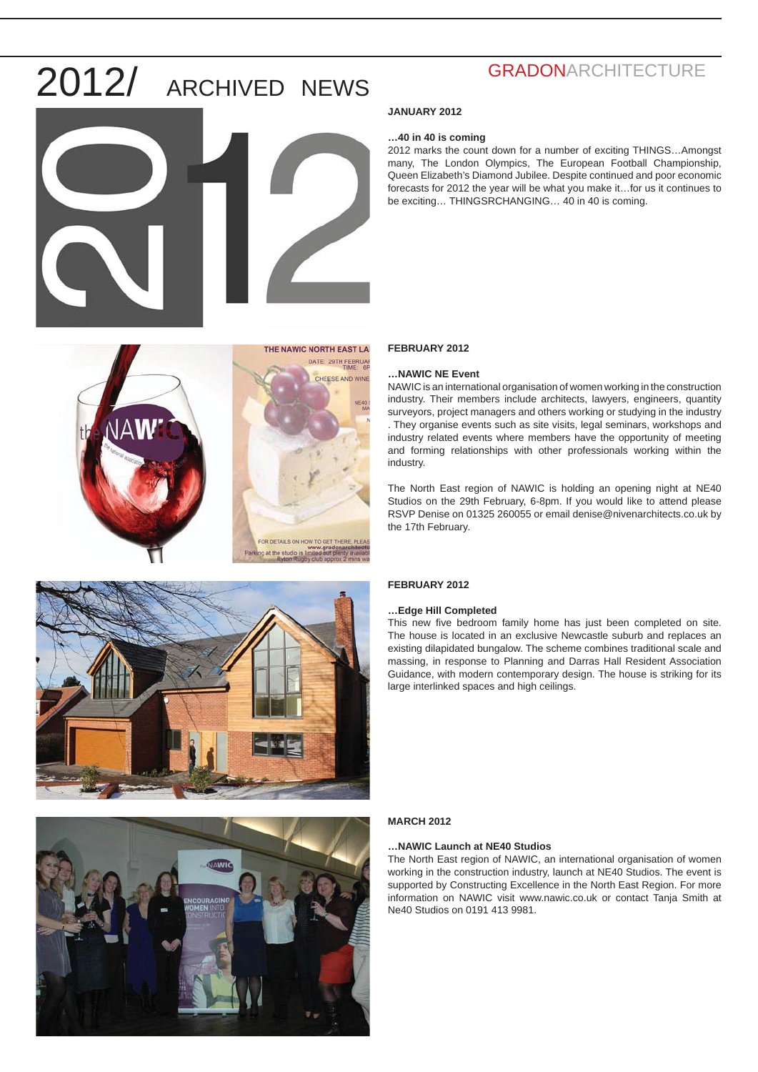







## **GRADONARCHITECTURE**

#### **JANUARY 2012**

#### **…40 in 40 is coming**

2012 marks the count down for a number of exciting THINGS…Amongst many, The London Olympics, The European Football Championship, Queen Elizabeth's Diamond Jubilee. Despite continued and poor economic forecasts for 2012 the year will be what you make it…for us it continues to be exciting… THINGSRCHANGING… 40 in 40 is coming.

#### **FEBRUARY 2012**

#### **…NAWIC NE Event**

NAWIC is an international organisation of women working in the construction industry. Their members include architects, lawyers, engineers, quantity surveyors, project managers and others working or studying in the industry . They organise events such as site visits, legal seminars, workshops and industry related events where members have the opportunity of meeting and forming relationships with other professionals working within the industry.

The North East region of NAWIC is holding an opening night at NE40 Studios on the 29th February, 6-8pm. If you would like to attend please RSVP Denise on 01325 260055 or email denise@nivenarchitects.co.uk by the 17th February.

#### **FEBRUARY 2012**

#### **…Edge Hill Completed**

This new five bedroom family home has just been completed on site. The house is located in an exclusive Newcastle suburb and replaces an existing dilapidated bungalow. The scheme combines traditional scale and massing, in response to Planning and Darras Hall Resident Association Guidance, with modern contemporary design. The house is striking for its large interlinked spaces and high ceilings.

#### **MARCH 2012**

#### **…NAWIC Launch at NE40 Studios**

The North East region of NAWIC, an international organisation of women working in the construction industry, launch at NE40 Studios. The event is supported by Constructing Excellence in the North East Region. For more information on NAWIC visit www.nawic.co.uk or contact Tanja Smith at Ne40 Studios on 0191 413 9981.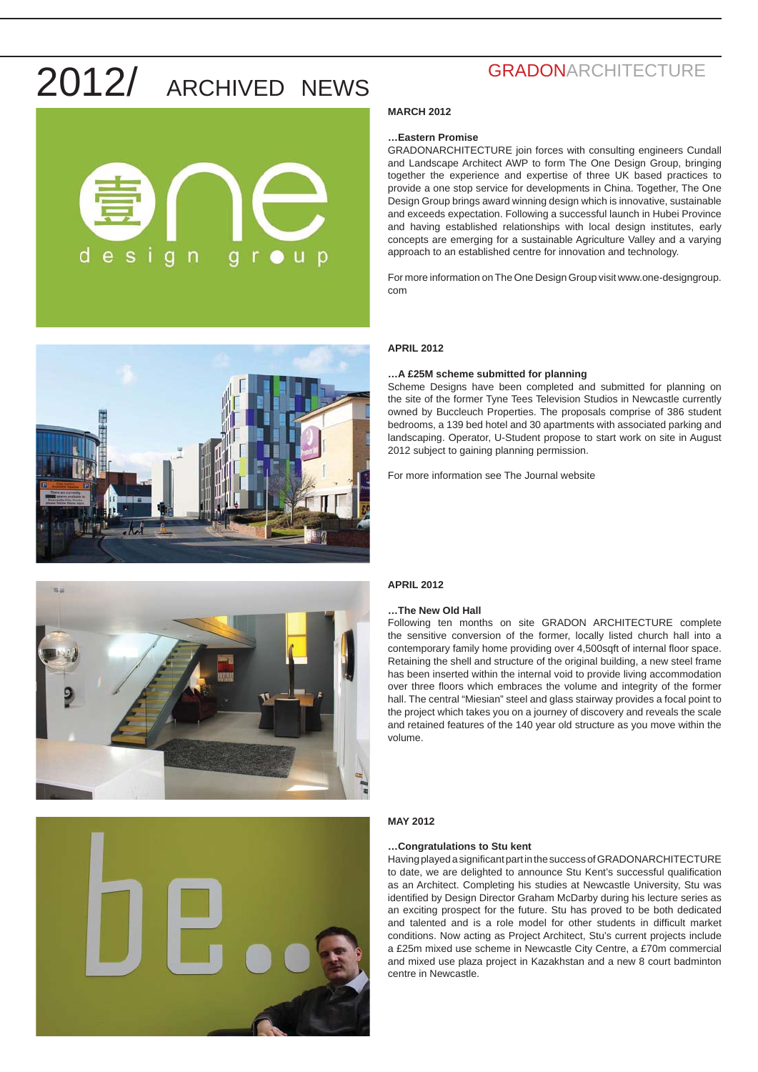



## **GRADONARCHITECTURE**

#### **MARCH 2012**

#### **…Eastern Promise**

GRADONARCHITECTURE join forces with consulting engineers Cundall and Landscape Architect AWP to form The One Design Group, bringing together the experience and expertise of three UK based practices to provide a one stop service for developments in China. Together, The One Design Group brings award winning design which is innovative, sustainable and exceeds expectation. Following a successful launch in Hubei Province and having established relationships with local design institutes, early concepts are emerging for a sustainable Agriculture Valley and a varying approach to an established centre for innovation and technology.

For more information on The One Design Group visit www.one-designgroup. com

#### **APRIL 2012**

#### **…A £25M scheme submitted for planning**

Scheme Designs have been completed and submitted for planning on the site of the former Tyne Tees Television Studios in Newcastle currently owned by Buccleuch Properties. The proposals comprise of 386 student bedrooms, a 139 bed hotel and 30 apartments with associated parking and landscaping. Operator, U-Student propose to start work on site in August 2012 subject to gaining planning permission.

For more information see The Journal website



#### **APRIL 2012**

#### **…The New Old Hall**

Following ten months on site GRADON ARCHITECTURE complete the sensitive conversion of the former, locally listed church hall into a contemporary family home providing over 4,500sqft of internal floor space. Retaining the shell and structure of the original building, a new steel frame has been inserted within the internal void to provide living accommodation over three floors which embraces the volume and integrity of the former hall. The central "Miesian" steel and glass stairway provides a focal point to the project which takes you on a journey of discovery and reveals the scale and retained features of the 140 year old structure as you move within the volume.

#### **MAY 2012**

#### **…Congratulations to Stu kent**

Having played a significant part in the success of GRADONARCHITECTURE to date, we are delighted to announce Stu Kent's successful qualification as an Architect. Completing his studies at Newcastle University, Stu was identified by Design Director Graham McDarby during his lecture series as an exciting prospect for the future. Stu has proved to be both dedicated and talented and is a role model for other students in difficult market conditions. Now acting as Project Architect, Stu's current projects include a £25m mixed use scheme in Newcastle City Centre, a £70m commercial and mixed use plaza project in Kazakhstan and a new 8 court badminton centre in Newcastle.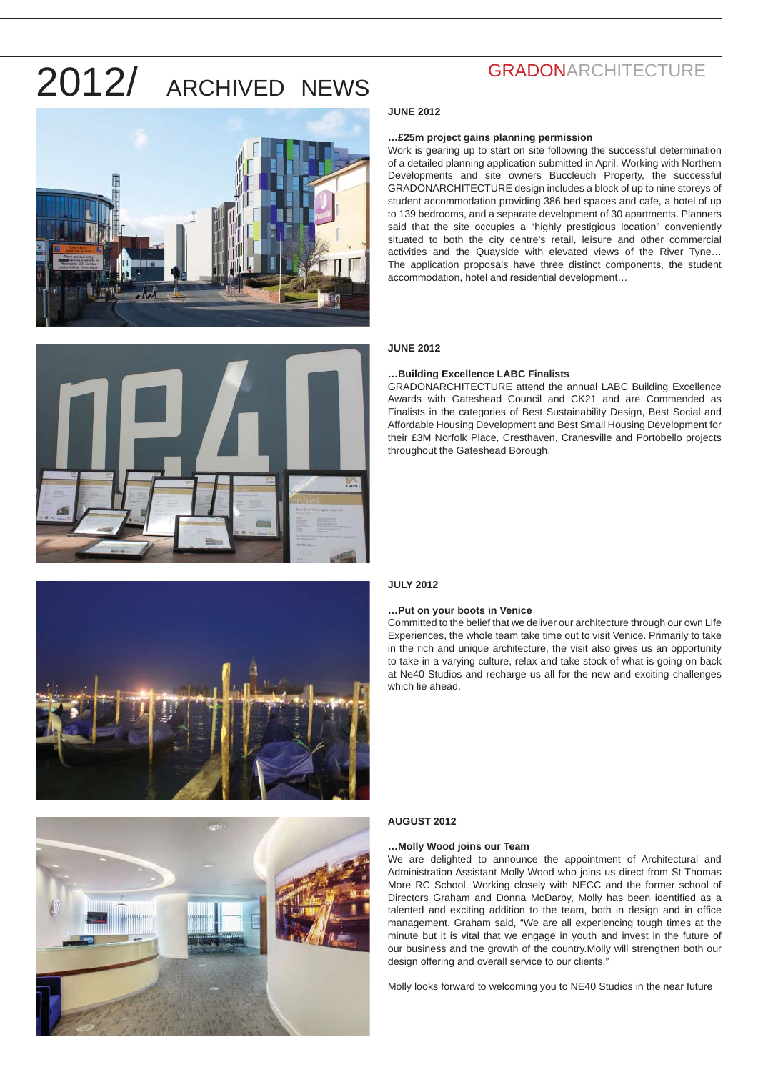





# **JUNE 2012 …£25m project gains planning permission**

#### Work is gearing up to start on site following the successful determination of a detailed planning application submitted in April. Working with Northern Developments and site owners Buccleuch Property, the successful GRADONARCHITECTURE design includes a block of up to nine storeys of student accommodation providing 386 bed spaces and cafe, a hotel of up to 139 bedrooms, and a separate development of 30 apartments. Planners said that the site occupies a "highly prestigious location" conveniently situated to both the city centre's retail, leisure and other commercial activities and the Quayside with elevated views of the River Tyne… The application proposals have three distinct components, the student accommodation, hotel and residential development…

#### **JUNE 2012**

#### **…Building Excellence LABC Finalists**

GRADONARCHITECTURE attend the annual LABC Building Excellence Awards with Gateshead Council and CK21 and are Commended as Finalists in the categories of Best Sustainability Design, Best Social and Affordable Housing Development and Best Small Housing Development for their £3M Norfolk Place, Cresthaven, Cranesville and Portobello projects throughout the Gateshead Borough.

#### **JULY 2012**

#### **…Put on your boots in Venice**

Committed to the belief that we deliver our architecture through our own Life Experiences, the whole team take time out to visit Venice. Primarily to take in the rich and unique architecture, the visit also gives us an opportunity to take in a varying culture, relax and take stock of what is going on back at Ne40 Studios and recharge us all for the new and exciting challenges which lie ahead.



#### **AUGUST 2012**

#### **…Molly Wood joins our Team**

We are delighted to announce the appointment of Architectural and Administration Assistant Molly Wood who joins us direct from St Thomas More RC School. Working closely with NECC and the former school of Directors Graham and Donna McDarby, Molly has been identified as a talented and exciting addition to the team, both in design and in office management. Graham said, "We are all experiencing tough times at the minute but it is vital that we engage in youth and invest in the future of our business and the growth of the country.Molly will strengthen both our design offering and overall service to our clients."

Molly looks forward to welcoming you to NE40 Studios in the near future

## **GRADONARCHITECTURE**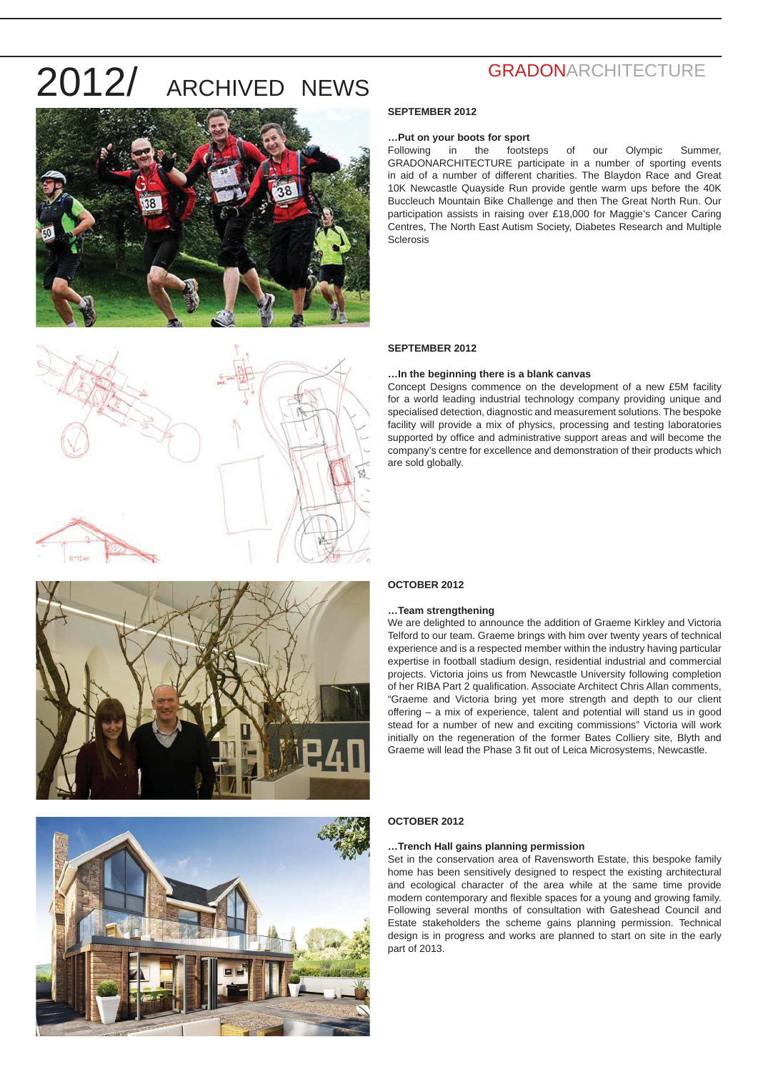



### **SEPTEMBER 2012**

#### **…Put on your boots for sport**

Following in the footsteps of our Olympic Summer, GRADONARCHITECTURE participate in a number of sporting events in aid of a number of different charities. The Blaydon Race and Great 10K Newcastle Quayside Run provide gentle warm ups before the 40K Buccleuch Mountain Bike Challenge and then The Great North Run. Our participation assists in raising over £18,000 for Maggie's Cancer Caring Centres, The North East Autism Society, Diabetes Research and Multiple Sclerosis

#### **SEPTEMBER 2012**

#### **…In the beginning there is a blank canvas**

Concept Designs commence on the development of a new £5M facility for a world leading industrial technology company providing unique and specialised detection, diagnostic and measurement solutions. The bespoke facility will provide a mix of physics, processing and testing laboratories supported by office and administrative support areas and will become the company's centre for excellence and demonstration of their products which are sold globally.





#### **OCTOBER 2012**

#### **…Team strengthening**

We are delighted to announce the addition of Graeme Kirkley and Victoria Telford to our team. Graeme brings with him over twenty years of technical experience and is a respected member within the industry having particular expertise in football stadium design, residential industrial and commercial projects. Victoria joins us from Newcastle University following completion of her RIBA Part 2 qualification. Associate Architect Chris Allan comments, "Graeme and Victoria bring yet more strength and depth to our client offering – a mix of experience, talent and potential will stand us in good stead for a number of new and exciting commissions" Victoria will work initially on the regeneration of the former Bates Colliery site, Blyth and Graeme will lead the Phase 3 fit out of Leica Microsystems, Newcastle.

#### **OCTOBER 2012**

#### **…Trench Hall gains planning permission**

Set in the conservation area of Ravensworth Estate, this bespoke family home has been sensitively designed to respect the existing architectural and ecological character of the area while at the same time provide modern contemporary and flexible spaces for a young and growing family. Following several months of consultation with Gateshead Council and Estate stakeholders the scheme gains planning permission. Technical design is in progress and works are planned to start on site in the early part of 2013.

## **GRADONARCHITECTURE**